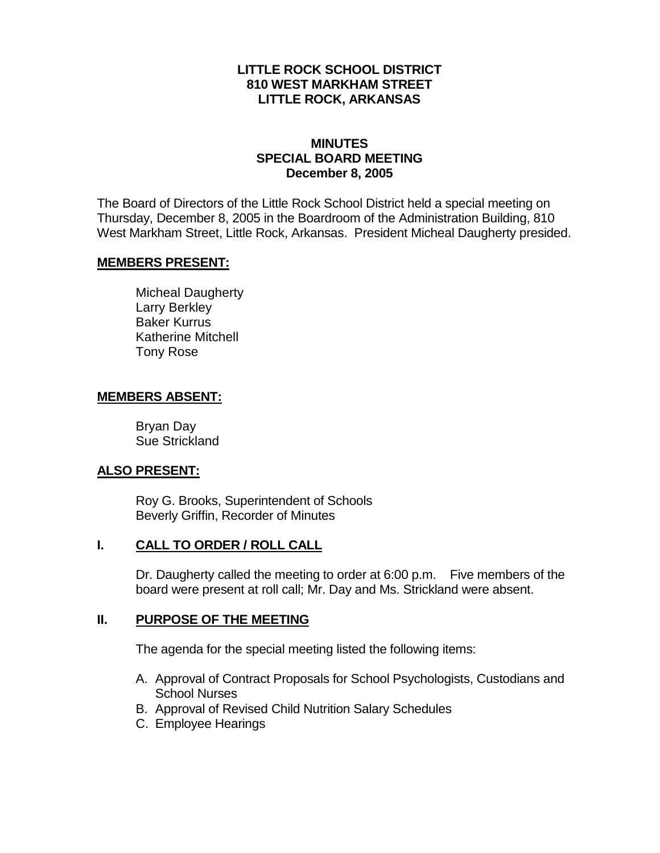## **LITTLE ROCK SCHOOL DISTRICT 810 WEST MARKHAM STREET LITTLE ROCK, ARKANSAS**

## **MINUTES SPECIAL BOARD MEETING December 8, 2005**

The Board of Directors of the Little Rock School District held a special meeting on Thursday, December 8, 2005 in the Boardroom of the Administration Building, 810 West Markham Street, Little Rock, Arkansas. President Micheal Daugherty presided.

#### **MEMBERS PRESENT:**

Micheal Daugherty Larry Berkley Baker Kurrus Katherine Mitchell Tony Rose

## **MEMBERS ABSENT:**

Bryan Day Sue Strickland

# **ALSO PRESENT:**

Roy G. Brooks, Superintendent of Schools Beverly Griffin, Recorder of Minutes

# **I. CALL TO ORDER / ROLL CALL**

Dr. Daugherty called the meeting to order at 6:00 p.m. Five members of the board were present at roll call; Mr. Day and Ms. Strickland were absent.

# **II. PURPOSE OF THE MEETING**

The agenda for the special meeting listed the following items:

- A. Approval of Contract Proposals for School Psychologists, Custodians and School Nurses
- B. Approval of Revised Child Nutrition Salary Schedules
- C. Employee Hearings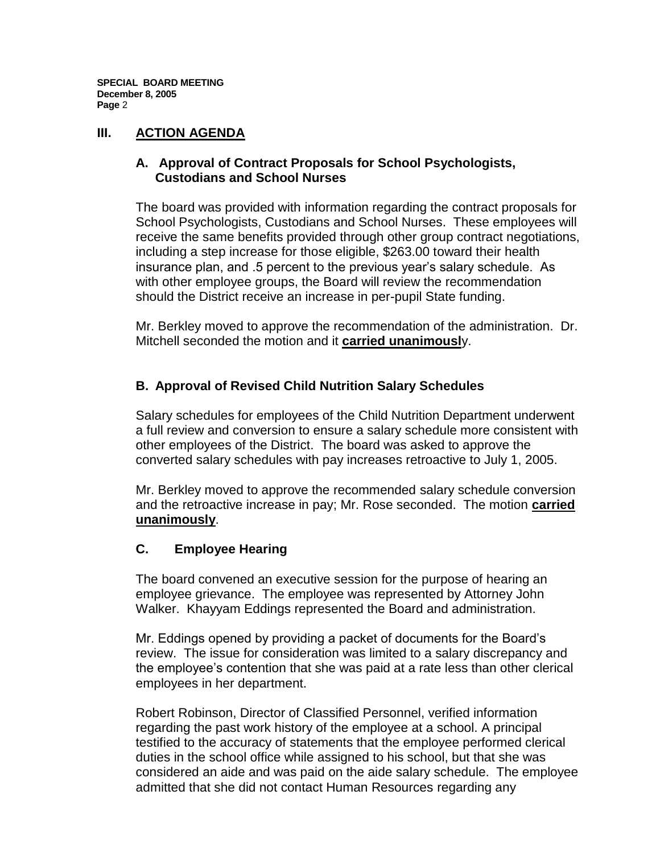**SPECIAL BOARD MEETING December 8, 2005 Page** 2

# **III. ACTION AGENDA**

# **A. Approval of Contract Proposals for School Psychologists, Custodians and School Nurses**

The board was provided with information regarding the contract proposals for School Psychologists, Custodians and School Nurses. These employees will receive the same benefits provided through other group contract negotiations, including a step increase for those eligible, \$263.00 toward their health insurance plan, and .5 percent to the previous year's salary schedule. As with other employee groups, the Board will review the recommendation should the District receive an increase in per-pupil State funding.

Mr. Berkley moved to approve the recommendation of the administration. Dr. Mitchell seconded the motion and it **carried unanimousl**y.

# **B. Approval of Revised Child Nutrition Salary Schedules**

Salary schedules for employees of the Child Nutrition Department underwent a full review and conversion to ensure a salary schedule more consistent with other employees of the District. The board was asked to approve the converted salary schedules with pay increases retroactive to July 1, 2005.

Mr. Berkley moved to approve the recommended salary schedule conversion and the retroactive increase in pay; Mr. Rose seconded. The motion **carried unanimously**.

# **C. Employee Hearing**

The board convened an executive session for the purpose of hearing an employee grievance. The employee was represented by Attorney John Walker. Khayyam Eddings represented the Board and administration.

Mr. Eddings opened by providing a packet of documents for the Board's review. The issue for consideration was limited to a salary discrepancy and the employee's contention that she was paid at a rate less than other clerical employees in her department.

Robert Robinson, Director of Classified Personnel, verified information regarding the past work history of the employee at a school. A principal testified to the accuracy of statements that the employee performed clerical duties in the school office while assigned to his school, but that she was considered an aide and was paid on the aide salary schedule. The employee admitted that she did not contact Human Resources regarding any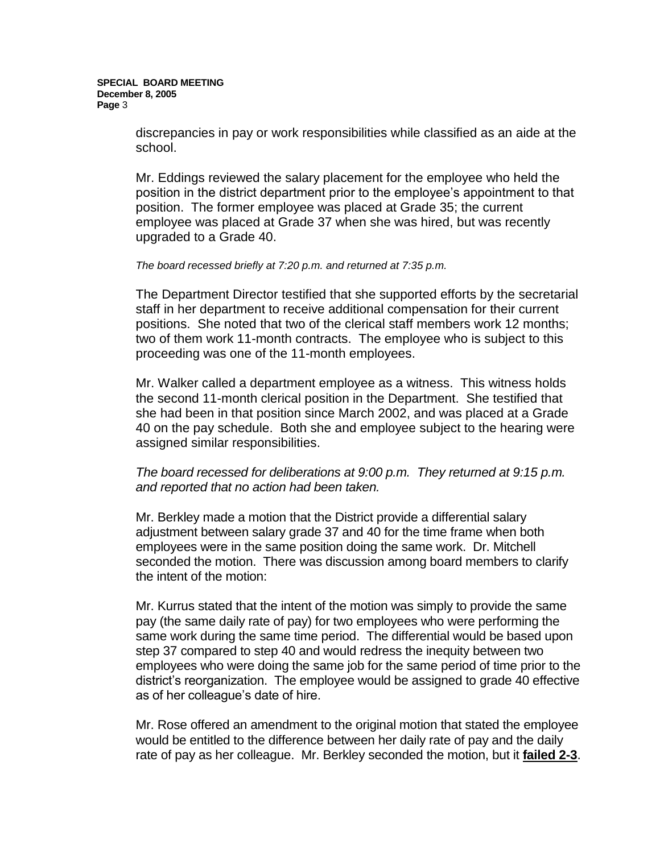discrepancies in pay or work responsibilities while classified as an aide at the school.

Mr. Eddings reviewed the salary placement for the employee who held the position in the district department prior to the employee's appointment to that position. The former employee was placed at Grade 35; the current employee was placed at Grade 37 when she was hired, but was recently upgraded to a Grade 40.

#### *The board recessed briefly at 7:20 p.m. and returned at 7:35 p.m.*

The Department Director testified that she supported efforts by the secretarial staff in her department to receive additional compensation for their current positions. She noted that two of the clerical staff members work 12 months; two of them work 11-month contracts. The employee who is subject to this proceeding was one of the 11-month employees.

Mr. Walker called a department employee as a witness. This witness holds the second 11-month clerical position in the Department. She testified that she had been in that position since March 2002, and was placed at a Grade 40 on the pay schedule. Both she and employee subject to the hearing were assigned similar responsibilities.

## *The board recessed for deliberations at 9:00 p.m. They returned at 9:15 p.m. and reported that no action had been taken.*

Mr. Berkley made a motion that the District provide a differential salary adjustment between salary grade 37 and 40 for the time frame when both employees were in the same position doing the same work. Dr. Mitchell seconded the motion. There was discussion among board members to clarify the intent of the motion:

Mr. Kurrus stated that the intent of the motion was simply to provide the same pay (the same daily rate of pay) for two employees who were performing the same work during the same time period. The differential would be based upon step 37 compared to step 40 and would redress the inequity between two employees who were doing the same job for the same period of time prior to the district's reorganization. The employee would be assigned to grade 40 effective as of her colleague's date of hire.

Mr. Rose offered an amendment to the original motion that stated the employee would be entitled to the difference between her daily rate of pay and the daily rate of pay as her colleague. Mr. Berkley seconded the motion, but it **failed 2-3**.